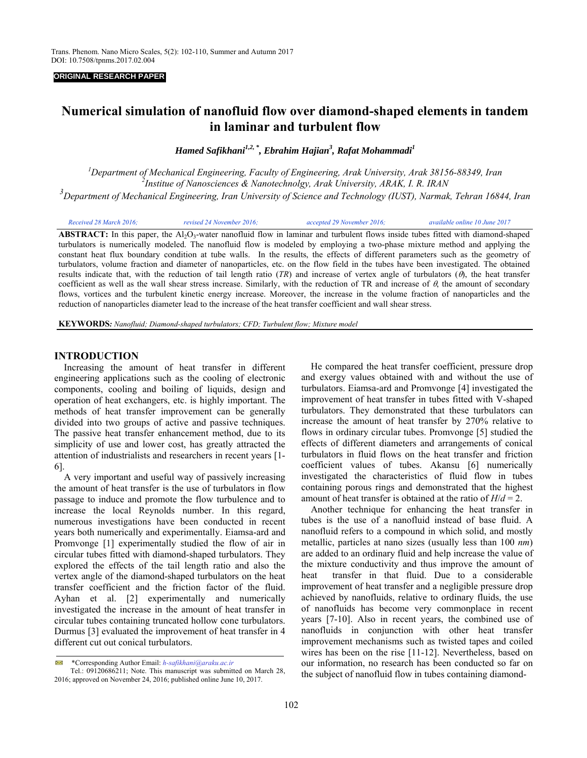#### **ORIGINAL RESEARCH PAPER**

# **Numerical simulation of nanofluid flow over diamond-shaped elements in tandem in laminar and turbulent flow**

*Hamed Safikhani1,2, \*, Ebrahim Hajian3 , Rafat Mohammadi1*

<sup>1</sup>Department of Mechanical Engineering, Faculty of Engineering, Arak University, Arak 38156-88349, Iran <sup>2</sup><br><sup>2</sup> Institute of Nanosaignees & Nanotechnolov, Arak University, APAK LP JPAN *Institue of Nanosciences & Nanotechnolgy, Arak University, ARAK, I. R. IRAN 3*

*Department of Mechanical Engineering, Iran University of Science and Technology (IUST), Narmak, Tehran 16844, Iran*

| Received 28 March 2016; | revised 24 November 2016;                                                                                                                                       | accepted 29 November 2016; | available online 10 June 2017                                                                                                                   |
|-------------------------|-----------------------------------------------------------------------------------------------------------------------------------------------------------------|----------------------------|-------------------------------------------------------------------------------------------------------------------------------------------------|
|                         | <b>ABSTRACT:</b> In this paper, the Al <sub>2</sub> O <sub>3</sub> -water nanofluid flow in laminar and turbulent flows inside tubes fitted with diamond-shaped |                            |                                                                                                                                                 |
|                         | turbulators is numerically modeled. The nanofluid flow is modeled by employing a two-phase mixture method and applying the                                      |                            |                                                                                                                                                 |
|                         |                                                                                                                                                                 |                            | constant heat flux boundary condition at tube walls. In the results, the effects of different parameters such as the geometry of                |
|                         | turbulators, volume fraction and diameter of nanoparticles, etc. on the flow field in the tubes have been investigated. The obtained                            |                            |                                                                                                                                                 |
|                         |                                                                                                                                                                 |                            | results indicate that, with the reduction of tail length ratio (TR) and increase of vertex angle of turbulators ( $\theta$ ), the heat transfer |
|                         |                                                                                                                                                                 |                            | coefficient as well as the wall shear stress increase. Similarly, with the reduction of TR and increase of $\theta$ , the amount of secondary   |
|                         | flows, vortices and the turbulent kinetic energy increase. Moreover, the increase in the volume fraction of nanoparticles and the                               |                            |                                                                                                                                                 |

**KEYWORDS***: Nanofluid; Diamond-shaped turbulators; CFD; Turbulent flow; Mixture model* 

reduction of nanoparticles diameter lead to the increase of the heat transfer coefficient and wall shear stress.

#### **INTRODUCTION**

 Increasing the amount of heat transfer in different engineering applications such as the cooling of electronic components, cooling and boiling of liquids, design and operation of heat exchangers, etc. is highly important. The methods of heat transfer improvement can be generally divided into two groups of active and passive techniques. The passive heat transfer enhancement method, due to its simplicity of use and lower cost, has greatly attracted the attention of industrialists and researchers in recent years [1- 6].

 A very important and useful way of passively increasing the amount of heat transfer is the use of turbulators in flow passage to induce and promote the flow turbulence and to increase the local Reynolds number. In this regard, numerous investigations have been conducted in recent years both numerically and experimentally. Eiamsa-ard and Promvonge [1] experimentally studied the flow of air in circular tubes fitted with diamond-shaped turbulators. They explored the effects of the tail length ratio and also the vertex angle of the diamond-shaped turbulators on the heat transfer coefficient and the friction factor of the fluid. Ayhan et al. [2] experimentally and numerically investigated the increase in the amount of heat transfer in circular tubes containing truncated hollow cone turbulators. Durmus [3] evaluated the improvement of heat transfer in 4 different cut out conical turbulators.

 He compared the heat transfer coefficient, pressure drop and exergy values obtained with and without the use of turbulators. Eiamsa-ard and Promvonge [4] investigated the improvement of heat transfer in tubes fitted with V-shaped turbulators. They demonstrated that these turbulators can increase the amount of heat transfer by 270% relative to flows in ordinary circular tubes. Promvonge [5] studied the effects of different diameters and arrangements of conical turbulators in fluid flows on the heat transfer and friction coefficient values of tubes. Akansu [6] numerically investigated the characteristics of fluid flow in tubes containing porous rings and demonstrated that the highest amount of heat transfer is obtained at the ratio of  $H/d = 2$ .

 Another technique for enhancing the heat transfer in tubes is the use of a nanofluid instead of base fluid. A nanofluid refers to a compound in which solid, and mostly metallic, particles at nano sizes (usually less than 100 *nm*) are added to an ordinary fluid and help increase the value of the mixture conductivity and thus improve the amount of heat transfer in that fluid. Due to a considerable improvement of heat transfer and a negligible pressure drop achieved by nanofluids, relative to ordinary fluids, the use of nanofluids has become very commonplace in recent years [7-10]. Also in recent years, the combined use of nanofluids in conjunction with other heat transfer improvement mechanisms such as twisted tapes and coiled wires has been on the rise [11-12]. Nevertheless, based on our information, no research has been conducted so far on the subject of nanofluid flow in tubes containing diamond-

 $\overline{\bowtie}$ \*Corresponding Author Email: *h-safikhani@araku.ac.ir*

Tel.: 09120686211; Note. This manuscript was submitted on March 28, 2016; approved on November 24, 2016; published online June 10, 2017.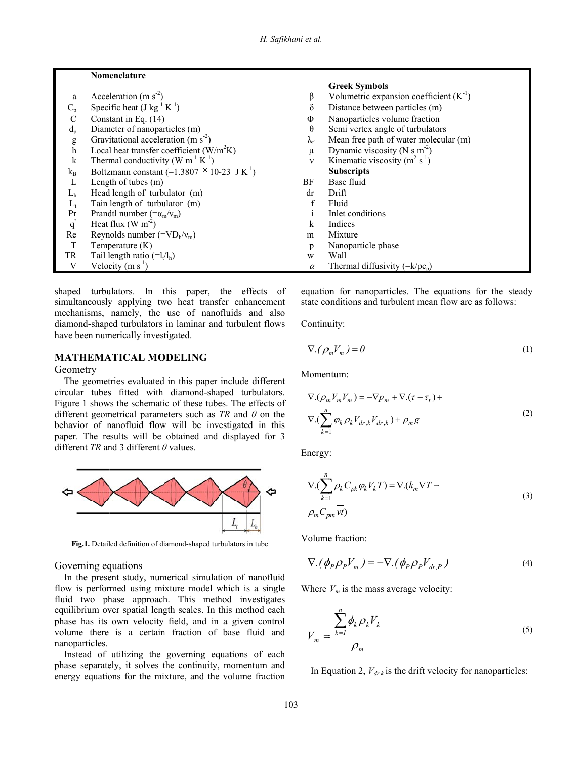#### **Nom enclature**

|                |                                                              |                   | <b>Greek Symbols</b>                                 |
|----------------|--------------------------------------------------------------|-------------------|------------------------------------------------------|
| a              | Acceleration (m $s^2$ )                                      | β                 | Volumetric expansion coefficient $(K^{-1})$          |
| $C_p$          | Specific heat $(J kg^{-1} K^{-1})$                           | δ                 | Distance between particles (m)                       |
| $\mathcal{C}$  | Constant in Eq. (14)                                         | Φ                 | Nanoparticles volume fraction                        |
| $d_{p}$        | Diameter of nanoparticles (m)                                | $\theta$          | Semi vertex angle of turbulators                     |
| g              | Gravitational acceleration $(m s-2)$                         | $\lambda_{\rm f}$ | Mean free path of water molecular (m)                |
| h              | Local heat transfer coefficient $(W/m2K)$                    | μ                 | Dynamic viscosity (N s $m2$ )                        |
| $\mathbf k$    | Thermal conductivity (W m <sup>-1</sup> K <sup>-1</sup> )    | $\mathbf{v}$      | Kinematic viscosity $(m^2 s^{-1})$                   |
| $k_B$          | Boltzmann constant $(=1.3807 \times 10-23 \text{ J K}^{-1})$ |                   | <b>Subscripts</b>                                    |
| L              | Length of tubes $(m)$                                        | BF                | Base fluid                                           |
| L <sub>h</sub> | Head length of turbulator (m)                                | dr                | Drift                                                |
| $L_t$          | Tain length of turbulator (m)                                | f                 | Fluid                                                |
| Pr             | Prandtl number $(=\alpha_m/v_m)$                             |                   | Inlet conditions                                     |
| q              | Heat flux $(W m^{-2})$                                       | k                 | Indices                                              |
| Re             | Reynolds number $(=\text{VD}_{h}/v_{m})$                     | m                 | Mixture                                              |
| T              | Temperature $(K)$                                            | p                 | Nanoparticle phase                                   |
| TR             | Tail length ratio $(=l_t/l_h)$                               | W                 | Wall                                                 |
| V              | Velocity $(m s-1)$                                           | $\alpha$          | Thermal diffusivity $(=\mathbf{k}/\rho\mathbf{c}_p)$ |

mechanisms, namely, the use of nanofluids and also diamond-shaped turbulators in laminar and turbulent flows have been numerically investigated. shaped turbulators. In this paper, the effects of simultaneously applying two heat transfer enhancement

# **MATHEMATICAL MODELING**

## G Geometry

circular tubes fitted with diamond-shaped turbulators. Figure 1 shows the schematic of these tubes. The effects of different geometrical parameters such as  $TR$  and  $\theta$  on the behavior of nanofluid flow will be investigated in this paper. The results will be obtained and displayed for 3 different *TR* and 3 different *θ* values. The geometries evaluated in this paper include different



Fig.1. Detailed definition of diamond-shaped turbulators in tube

## Governing equations

flow is performed using mixture model which is a single fluid two phase approach. This method investigates equilibrium over spatial length scales. In this method each phase has its own velocity field, and in a given control volume there is a certain fraction of base fluid and n nanoparticles. In the present study, numerical simulation of nanofluid

phase separately, it solves the continuity, momentum and energy equations for the mixture, and the volume fraction Instead of utilizing the governing equations of each equation for nanoparticles. The equations for the steady state conditions and turbulent mean flow are as follows:

Continuity:

$$
\nabla \cdot (\rho_m V_m) = 0 \tag{1}
$$

Momentum:

$$
\nabla \cdot (\rho_m V_m V_m) = -\nabla p_m + \nabla \cdot (\tau - \tau_t) +
$$
  

$$
\nabla \cdot (\sum_{k=1}^n \varphi_k \rho_k V_{dr,k} V_{dr,k}) + \rho_m g
$$
 (2)

Energy:

$$
\nabla \cdot (\sum_{k=1}^{n} \rho_k C_{pk} \varphi_k V_k T) = \nabla \cdot (k_m \nabla T - \rho_m \overline{V} \overline{V})
$$
\n
$$
\rho_m C_{pm} \overline{V} \overline{V}
$$
\n(3)

Volume fraction:

$$
\nabla.(\phi_P \rho_P V_m) = -\nabla.(\phi_P \rho_P V_{dr,P})
$$
\n(4)

Where  $V_m$  is the mass average velocity:

$$
V_m = \frac{\sum_{k=1}^n \phi_k \rho_k V_k}{\rho_m} \tag{5}
$$

In Equation 2,  $V_{dr,k}$  is the drift velocity for nanoparticles: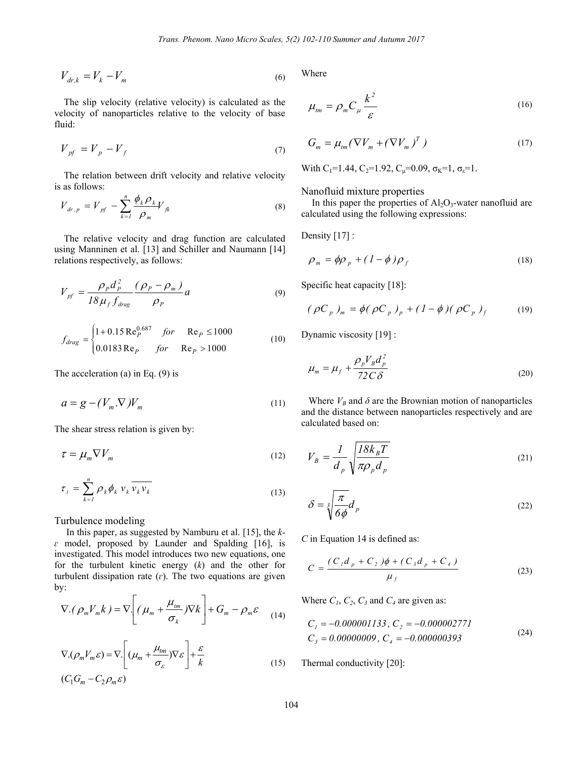$$
V_{dr,k} = V_k - V_m \tag{6}
$$

 The slip velocity (relative velocity) is calculated as the velocity of nanoparticles relative to the velocity of base fluid:

$$
V_{pf} = V_p - V_f \tag{7}
$$

 The relation between drift velocity and relative velocity is as follows:

$$
V_{dr,p} = V_{pf} - \sum_{k=1}^{n} \frac{\phi_k \rho_k}{\rho_m} V_{fk}
$$
 (8)

 The relative velocity and drag function are calculated using Manninen et al. [13] and Schiller and Naumann [14] relations respectively, as follows:

$$
V_{pf} = \frac{\rho_p d_P^2}{18 \mu_f f_{drag}} \frac{(\rho_p - \rho_m)}{\rho_p} a \tag{9}
$$

$$
f_{drag} = \begin{cases} 1 + 0.15 \text{ Re}_P^{0.687} & \text{for} \quad \text{Re}_P \le 1000 \\ 0.0183 \text{ Re}_P & \text{for} \quad \text{Re}_P > 1000 \end{cases}
$$
(10)

The acceleration (a) in Eq.  $(9)$  is

$$
a = g - (V_m . \nabla) V_m \tag{11}
$$

The shear stress relation is given by:

$$
\tau = \mu_m \nabla V_m \tag{12}
$$

$$
\tau_t = \sum_{k=1}^n \rho_k \phi_k \, v_k \, \overline{v_k v_k} \tag{13}
$$

Turbulence modeling

 In this paper, as suggested by Namburu et al. [15], the *k-* $\varepsilon$  model, proposed by Launder and Spalding [16], is investigated. This model introduces two new equations, one for the turbulent kinetic energy (*k*) and the other for turbulent dissipation rate  $(\varepsilon)$ . The two equations are given by:

$$
\nabla \cdot (\rho_m V_m k) = \nabla \cdot \left[ (\mu_m + \frac{\mu_m}{\sigma_k}) \nabla k \right] + G_m - \rho_m \varepsilon \tag{14}
$$

$$
\nabla \cdot (\rho_m V_m \varepsilon) = \nabla \cdot \left[ (\mu_m + \frac{\mu_{lm}}{\sigma_{\varepsilon}}) \nabla \varepsilon \right] + \frac{\varepsilon}{k}
$$
\n
$$
(C_1 G_m - C_2 \rho_m \varepsilon) \tag{15}
$$

Where

$$
\mu_{tm} = \rho_m C_\mu \frac{k^2}{\varepsilon} \tag{16}
$$

$$
G_m = \mu_{tm} (\nabla V_m + (\nabla V_m)^T)
$$
 (17)

With C<sub>1</sub>=1.44, C<sub>2</sub>=1.92, C<sub>u</sub>=0.09,  $\sigma_{K}$ =1,  $\sigma_{E}$ =1.

Nanofluid mixture properties

In this paper the properties of  $Al_2O_3$ -water nanofluid are calculated using the following expressions:

Density [17] :

$$
\rho_m = \phi \rho_p + (1 - \phi) \rho_f \tag{18}
$$

Specific heat capacity [18]:

$$
(\rho C_p)_{m} = \phi(\rho C_p)_{p} + (1 - \phi)(\rho C_p)_{f} \tag{19}
$$

Dynamic viscosity [19] :

$$
\mu_m = \mu_f + \frac{\rho_p V_B d_p^2}{72 C \delta} \tag{20}
$$

Where  $V_B$  and  $\delta$  are the Brownian motion of nanoparticles and the distance between nanoparticles respectively and are calculated based on:

$$
V_B = \frac{1}{d_p} \sqrt{\frac{18k_B T}{\pi \rho_p d_p}}
$$
(21)

$$
\delta = \sqrt[3]{\frac{\pi}{6\phi}} d_p \tag{22}
$$

*C* in Equation 14 is defined as:

$$
C = \frac{(C_{1}d_{p} + C_{2})\phi + (C_{3}d_{p} + C_{4})}{\mu_{f}}
$$
\n(23)

Where  $C_1$ ,  $C_2$ ,  $C_3$  and  $C_4$  are given as:

$$
C_1 = -0.000001133, C_2 = -0.000002771
$$
  
\n
$$
C_3 = 0.00000009, C_4 = -0.000000393
$$
 (24)

Thermal conductivity [20]: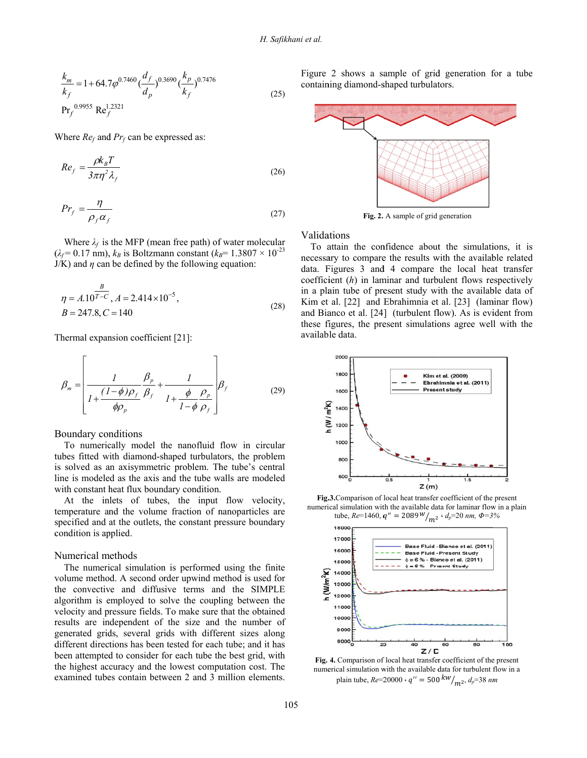$$
\frac{k_m}{k_f} = 1 + 64.7 \varphi^{0.7460} \left(\frac{d_f}{d_p}\right)^{0.3690} \left(\frac{k_p}{k_f}\right)^{0.7476}
$$
\n
$$
Pr_f^{0.9955} Re_f^{1.2321}
$$
\n(25)

Where  $Re_f$  and  $Pr_f$  can be expressed as:

$$
Re_f = \frac{\rho k_B T}{3\pi \eta^2 \lambda_f} \tag{26}
$$

$$
Pr_f = \frac{\eta}{\rho_f \alpha_f} \tag{27}
$$

 $(\lambda_f = 0.17 \text{ nm})$ ,  $k_B$  is Boltzmann constant  $(k_B = 1.3807 \times 10^{-23}$  $J/K$ ) and  $\eta$  can be defined by the following equation: Where  $\lambda_f$  is the MFP (mean free path) of water molecular

$$
\eta = A.10^{\overline{T-C}}, A = 2.414 \times 10^{-5},
$$
  
\n
$$
B = 247.8, C = 140
$$
\n(28)

Thermal expansion coefficient  $[21]$ :

$$
\beta_m = \left[ \frac{1}{1 + \frac{(1 - \phi)\rho_f}{\phi \rho_p}} \frac{\beta_p}{\beta_f} + \frac{1}{1 + \frac{\phi}{1 - \phi}} \frac{\rho_p}{\rho_f} \right] \beta_f
$$
(29)

Boundary conditions

tubes fitted with diamond-shaped turbulators, the problem is solved as an axisymmetric problem. The tube's central line is modeled as the axis and the tube walls are modeled with constant heat flux boundary condition. To numerically model the nanofluid flow in circular

temperature and the volume fraction of nanoparticles are condition is applied. At the inlets of tubes, the input flow velocity, specified and at the outlets, the constant pressure boundary

## N Numerical m methods

volume method. A second order upwind method is used for the convective and diffusive terms and the SIMPLE algorithm is employed to solve the coupling between the velocity and pressure fields. To make sure that the obtained results are independent of the size and the number of generated grids, several grids with different sizes along different directions has been tested for each tube; and it has been attempted to consider for each tube the best grid, with the highest accuracy and the lowest computation cost. The examined tubes contain between 2 and 3 million elements. The numerical simulation is performed using the finite Figure 2 shows a sample of grid generation for a tube containing diamond-shaped turbulators.



Validations

To attain the confidence about the simulations, it is necessary to compare the results with the available related data. Figures 3 and 4 compare the local heat transfer  $coefficient(h)$  in laminar and turbulent flows respectively in a plain tube of present study with the available data of Kim et al.  $[22]$  and Ebrahimnia et al.  $[23]$  (laminar flow) and Bianco et al.  $[24]$  (turbulent flow). As is evident from these figures, the present simulations agree well with the availab le data.



Fig.3. Comparison of local heat transfer coefficient of the present numerical simulation with the available data for laminar flow in a plain



Fig. 4. Comparison of local heat transfer coefficient of the present numerical simulation with the available data for turbulent flow in a plain tube,  $Re = 20000 \cdot q'' = 500 \frac{kw}{m^2}$ ,  $d_p = 38 \text{ nm}$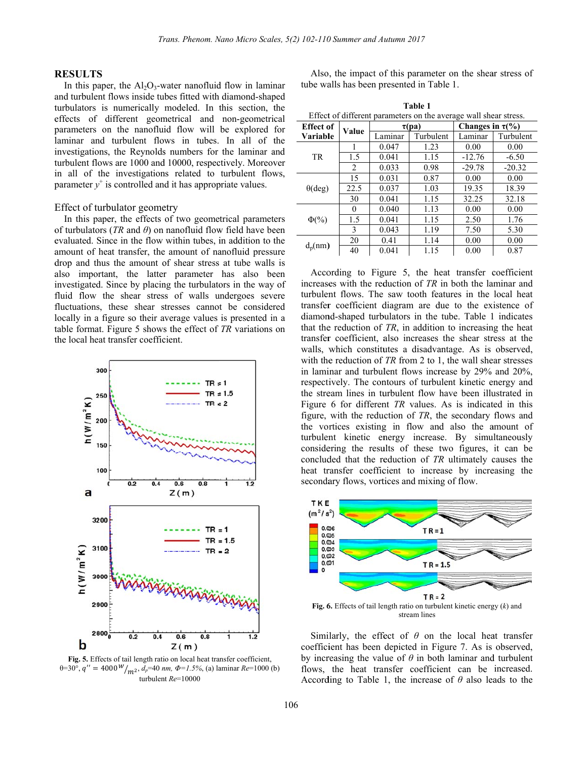# **RESULTS**

In this paper, the  $Al_2O_3$ -water nanofluid flow in laminar and turbulent flows inside tubes fitted with diamond-shaped turbulators is numerically modeled. In this section, the effects of different geometrical and non-geometrical parameters on the nanofluid flow will be explored for laminar and turbulent flows in tubes. In all of the investigations, the Reynolds numbers for the laminar and turbulent flows are 1000 and 10000, respectively. Moreover in all of the investigations related to turbulent flows, parameter  $y^+$  is controlled and it has appropriate values.

#### Effect of turbulator geometry

In this paper, the effects of two geometrical parameters of turbulators (TR and  $\theta$ ) on nanofluid flow field have been evaluated. Since in the flow within tubes, in addition to the amount of heat transfer, the amount of nanofluid pressure drop and thus the amount of shear stress at tube walls is also important, the latter parameter has also been investigated. Since by placing the turbulators in the way of fluid flow the shear stress of walls undergoes severe fluctuations, these shear stresses cannot be considered locally in a figure so their average values is presented in a table format. Figure 5 shows the effect of  $TR$  variations on the local heat transfer coefficient.



Fig. 5. Effects of tail length ratio on local heat transfer coefficient,  $\theta = 30^{\circ}$ ,  $q'' = 4000 \frac{W}{m^2}$ ,  $d_p = 40 \text{ nm}$ ,  $\Phi = 1.5\%$ , (a) laminar  $Re = 1000$  (b) turbulent  $Re=10000$ 

Also, the impact of this parameter on the shear stress of tube walls has been presented in Table 1.

| Table 1                                                          |          |             |           |                       |           |  |  |  |
|------------------------------------------------------------------|----------|-------------|-----------|-----------------------|-----------|--|--|--|
| Effect of different parameters on the average wall shear stress. |          |             |           |                       |           |  |  |  |
| <b>Effect of</b>                                                 | Value    | $\tau$ (pa) |           | Changes in $\tau$ (%) |           |  |  |  |
| Variable                                                         |          | Laminar     | Turbulent | Laminar               | Turbulent |  |  |  |
| TR                                                               | 1        | 0.047       | 1.23      | 0.00                  | 0.00      |  |  |  |
|                                                                  | 1.5      | 0.041       | 1.15      | $-12.76$              | $-6.50$   |  |  |  |
|                                                                  | 2        | 0.033       | 0.98      | $-29.78$              | $-20.32$  |  |  |  |
| $\theta$ (deg)                                                   | 15       | 0.031       | 0.87      | 0.00                  | 0.00      |  |  |  |
|                                                                  | 22.5     | 0.037       | 1.03      | 19.35                 | 18.39     |  |  |  |
|                                                                  | 30       | 0.041       | 1.15      | 32.25                 | 32.18     |  |  |  |
| $\Phi(\% )$                                                      | $\theta$ | 0.040       | 1.13      | 0.00                  | 0.00      |  |  |  |
|                                                                  | 1.5      | 0.041       | 1.15      | 2.50                  | 1.76      |  |  |  |
|                                                                  | 3        | 0.043       | 1.19      | 7.50                  | 5.30      |  |  |  |
| $d_p(nm)$                                                        | 20       | 0.41        | 1.14      | 0.00                  | 0.00      |  |  |  |
|                                                                  | 40       | 0.041       | 1.15      | 0.00                  | 0.87      |  |  |  |

According to Figure 5, the heat transfer coefficient increases with the reduction of TR in both the laminar and turbulent flows. The saw tooth features in the local heat transfer coefficient diagram are due to the existence of diamond-shaped turbulators in the tube. Table 1 indicates that the reduction of  $TR$ , in addition to increasing the heat transfer coefficient, also increases the shear stress at the walls, which constitutes a disadvantage. As is observed, with the reduction of  $TR$  from 2 to 1, the wall shear stresses in laminar and turbulent flows increase by 29% and 20%. respectively. The contours of turbulent kinetic energy and the stream lines in turbulent flow have been illustrated in Figure 6 for different  $TR$  values. As is indicated in this figure, with the reduction of  $TR$ , the secondary flows and the vortices existing in flow and also the amount of turbulent kinetic energy increase. By simultaneously considering the results of these two figures, it can be concluded that the reduction of TR ultimately causes the heat transfer coefficient to increase by increasing the secondary flows, vortices and mixing of flow.



Similarly, the effect of  $\theta$  on the local heat transfer coefficient has been depicted in Figure 7. As is observed, by increasing the value of  $\theta$  in both laminar and turbulent flows, the heat transfer coefficient can be increased. According to Table 1, the increase of  $\theta$  also leads to the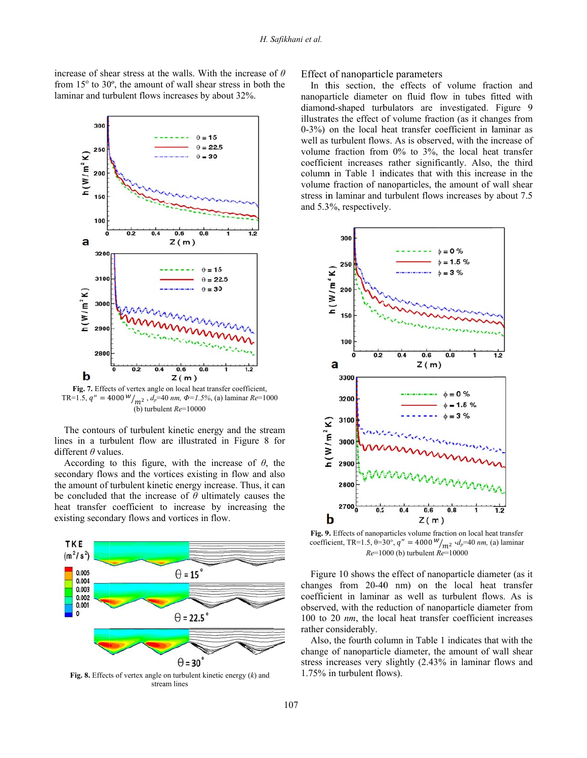increase of shear stress at the walls. With the increase of  $\theta$ from  $15^{\circ}$  to  $30^{\circ}$ , the amount of wall shear stress in both the laminar and turbulent flows increases by about 32%.



Fig. 7. Effects of vertex angle on local heat transfer coefficient, TR=1.5,  $q'' = 4000 \frac{W}{m^2}$ ,  $d_p = 40 \frac{nm}{m}$ ,  $\Phi = 1.5\%$ , (a) laminar  $Re = 1000$ (b) turbulent  $Re=10000$ 

lines in a turbulent flow are illustrated in Figure 8 for different θ values. The contours of turbulent kinetic energy and the stream

the amount of turbulent kinetic energy increase. Thus, it can be concluded that the increase of  $\theta$  ultimately causes the heat transfer coefficient to increase by increasing the existing secondary flows and vortices in flow. According to this figure, with the increase of  $\theta$ , the secondary flows and the vortices existing in flow and also



**Fig. 8.** Effects of vertex angle on turbulent kinetic energy  $(k)$  and strea am lines

# Effect of nanoparticle parameters

In this section, the effects of volume fraction and nanoparticle diameter on fluid flow in tubes fitted with diamon nd-shaped turb bulators are investigated. Figure 9 illustrates the effect of volume fraction (as it changes from 0-3%) on the local heat transfer coefficient in laminar as well as turbulent flows. As is observed, with the increase of volume fraction from  $0\%$  to  $3\%$ , the local heat transfer coefficient increases rather significantly. Also, the third column in Table 1 indicates that with this increase in the volume fraction of nanoparticles, the amount of wall shear stress in laminar and turbulent flows increases by about 7.5 and 5.3 3%, respectivel ly.



Fig. 9. Effects of nanoparticles volume fraction on local heat transfer Fig. 9. Effects of nanoparticles volume fraction on local heat transfer coefficient, TR=1.5,  $\theta=30^{\circ}$ ,  $q'' = 4000 \frac{W}{m^2} \cdot d_p = 40 \frac{m}{m}$ , (a) laminar *Re*=10 000 (b) turbulent *R Re*=10000

Figure 10 shows the effect of nanoparticle diameter (as it changes from 20-40 nm) on the local heat transfer coefficient in laminar as well as turbulent flows. As is observed, with the reduction of nanoparticle diameter from 100 to 20 *nm*, the local heat transfer coefficient increases rather c considerably.

Also, the fourth column in Table 1 indicates that with the change of nanoparticle diameter, the amount of wall shear stress increases very slightly (2.43% in laminar flows and 1.75% in turbulent flows).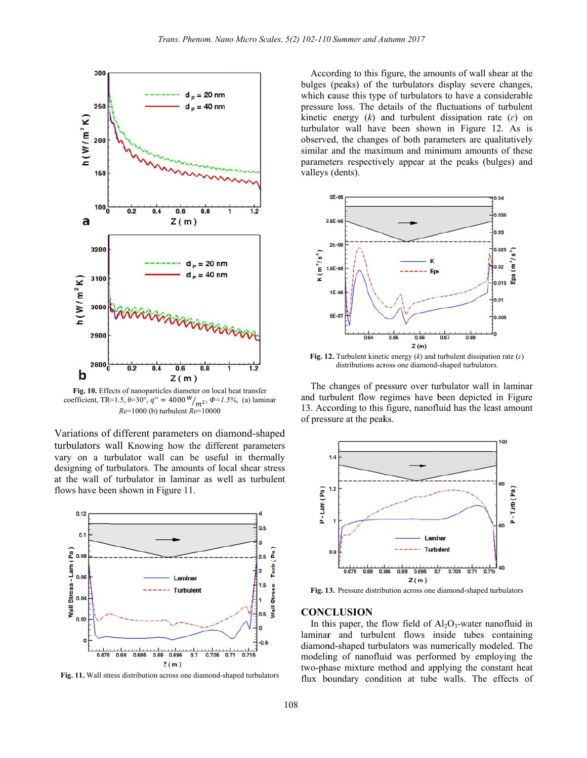

Fig. 10. Effects of nanoparticles diameter on local heat transfer rig. 10. Efficient, TR=1.5,  $\theta$ =30°,  $q''$  = 4000 $W_{m^2}$ ,  $\Phi$ =1.5%, (a) laminar  $Re=1000$  (b) turbulent  $Re=10000$ 

Variations of different parameters on diamond-shaped turbulators wall Knowing how the different parameters vary on a turbulator wall can be useful in thermally designing of turbulators. The amounts of local shear stress at the wall of turbulator in laminar as well as turbulent flows have been shown in Figure 11.



Fig. 11. Wall stress distribution across one diamond-shaped turbulators

According to this figure, the amounts of wall shear at the bulges (peaks) of the turbulators display severe changes, which cause this type of turbulators to have a considerable pressure loss. The details of the fluctuations of turbulent kinetic energy  $(k)$  and turbulent dissipation rate  $(\varepsilon)$  on turbulator wall have been shown in Figure 12. As is observed, the changes of both parameters are qualitatively similar and the maximum and minimum amounts of these parameters respectively appear at the peaks (bulges) and valleys (dents).



Fig. 12. Turbulent kinetic energy  $(k)$  and turbulent dissipation rate  $(\varepsilon)$ distributions across one diamond-shaped turbulators.

The changes of pressure over turbulator wall in laminar and turbulent flow regimes have been depicted in Figure 13. According to this figure, nanofluid has the least amount of pressure at the peaks.



Fig. 13. Pressure distribution across one diamond-shaped turbulators

## **CONCLUSION**

In this paper, the flow field of  $Al_2O_3$ -water nanofluid in laminar and turbulent flows inside tubes containing diamond-shaped turbulators was numerically modeled. The modeling of nanofluid was performed by employing the two-phase mixture method and applying the constant heat flux boundary condition at tube walls. The effects of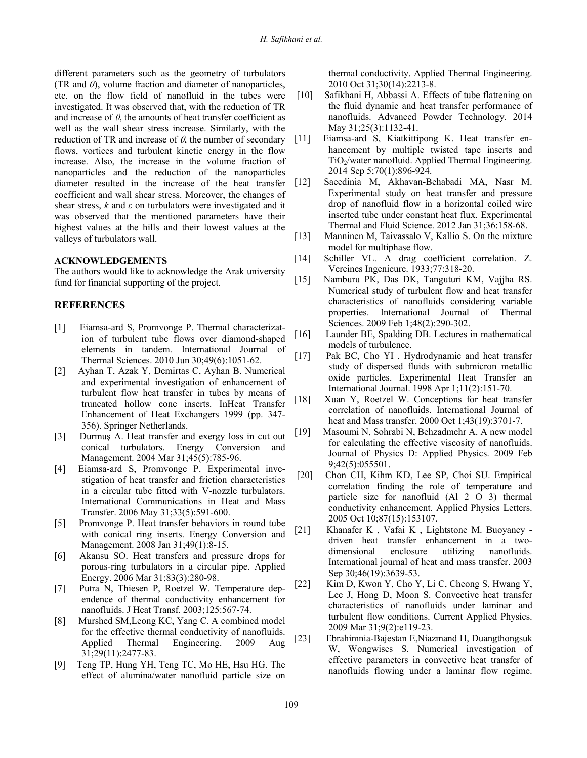different parameters such as the geometry of turbulators (TR and *θ*), volume fraction and diameter of nanoparticles, etc. on the flow field of nanofluid in the tubes were investigated. It was observed that, with the reduction of TR and increase of  $\theta$ , the amounts of heat transfer coefficient as well as the wall shear stress increase. Similarly, with the reduction of TR and increase of  $\theta$ , the number of secondary flows, vortices and turbulent kinetic energy in the flow increase. Also, the increase in the volume fraction of nanoparticles and the reduction of the nanoparticles diameter resulted in the increase of the heat transfer coefficient and wall shear stress. Moreover, the changes of shear stress,  $k$  and  $\varepsilon$  on turbulators were investigated and it was observed that the mentioned parameters have their highest values at the hills and their lowest values at the valleys of turbulators wall.

### **ACKNOWLEDGEMENTS**

The authors would like to acknowledge the Arak university fund for financial supporting of the project.

# **REFERENCES**

- [1] Eiamsa-ard S, Promvonge P. Thermal characterization of turbulent tube flows over diamond-shaped elements in tandem. International Journal of Thermal Sciences. 2010 Jun 30;49(6):1051-62.
- [2] Ayhan T, Azak Y, Demirtas C, Ayhan B. Numerical and experimental investigation of enhancement of turbulent flow heat transfer in tubes by means of truncated hollow cone inserts. InHeat Transfer Enhancement of Heat Exchangers 1999 (pp. 347- 356). Springer Netherlands.
- [3] Durmuş A. Heat transfer and exergy loss in cut out conical turbulators. Energy Conversion and Management. 2004 Mar 31;45(5):785-96.
- [4] Eiamsa-ard S, Promvonge P. Experimental investigation of heat transfer and friction characteristics in a circular tube fitted with V-nozzle turbulators. International Communications in Heat and Mass Transfer. 2006 May 31;33(5):591-600.
- [5] Promvonge P. Heat transfer behaviors in round tube with conical ring inserts. Energy Conversion and Management. 2008 Jan 31;49(1):8-15.
- [6] Akansu SO. Heat transfers and pressure drops for porous-ring turbulators in a circular pipe. Applied Energy. 2006 Mar 31;83(3):280-98.
- [7] Putra N, Thiesen P, Roetzel W. Temperature dependence of thermal conductivity enhancement for nanofluids. J Heat Transf. 2003;125:567-74.
- [8] Murshed SM,Leong KC, Yang C. A combined model for the effective thermal conductivity of nanofluids. Applied Thermal Engineering. 2009 Aug 31;29(11):2477-83.
- [9] Teng TP, Hung YH, Teng TC, Mo HE, Hsu HG. The effect of alumina/water nanofluid particle size on

thermal conductivity. Applied Thermal Engineering. 2010 Oct 31;30(14):2213-8.

- [10] Safikhani H, Abbassi A. Effects of tube flattening on the fluid dynamic and heat transfer performance of nanofluids. Advanced Powder Technology. 2014 May 31;25(3):1132-41.
- [11] Eiamsa-ard S, Kiatkittipong K. Heat transfer enhancement by multiple twisted tape inserts and  $TiO<sub>2</sub>/water nanofluid. Applied Thermal Engineering.$ 2014 Sep 5;70(1):896-924.
- [12] Saeedinia M, Akhavan-Behabadi MA, Nasr M. Experimental study on heat transfer and pressure drop of nanofluid flow in a horizontal coiled wire inserted tube under constant heat flux. Experimental Thermal and Fluid Science. 2012 Jan 31;36:158-68.
- [13] Manninen M, Taivassalo V, Kallio S. On the mixture model for multiphase flow.
- [14] Schiller VL. A drag coefficient correlation. Z. Vereines Ingenieure. 1933;77:318-20.
- [15] Namburu PK, Das DK, Tanguturi KM, Vajjha RS. Numerical study of turbulent flow and heat transfer characteristics of nanofluids considering variable properties. International Journal of Thermal Sciences. 2009 Feb 1;48(2):290-302.
- [16] Launder BE, Spalding DB. Lectures in mathematical models of turbulence.
- [17] Pak BC, Cho YI . Hydrodynamic and heat transfer study of dispersed fluids with submicron metallic oxide particles. Experimental Heat Transfer an International Journal. 1998 Apr 1;11(2):151-70.
- [18] Xuan Y, Roetzel W. Conceptions for heat transfer correlation of nanofluids. International Journal of heat and Mass transfer. 2000 Oct 1;43(19):3701-7.
- [19] Masoumi N, Sohrabi N, Behzadmehr A. A new model for calculating the effective viscosity of nanofluids. Journal of Physics D: Applied Physics. 2009 Feb 9;42(5):055501.
- [20] Chon CH, Kihm KD, Lee SP, Choi SU. Empirical correlation finding the role of temperature and particle size for nanofluid (Al 2 O 3) thermal conductivity enhancement. Applied Physics Letters. 2005 Oct 10;87(15):153107.
- [21] Khanafer K , Vafai K , Lightstone M. Buoyancy driven heat transfer enhancement in a twodimensional enclosure utilizing nanofluids. International journal of heat and mass transfer. 2003 Sep 30;46(19):3639-53.
- [22] Kim D, Kwon Y, Cho Y, Li C, Cheong S, Hwang Y, Lee J, Hong D, Moon S. Convective heat transfer characteristics of nanofluids under laminar and turbulent flow conditions. Current Applied Physics. 2009 Mar 31;9(2):e119-23.
- [23] Ebrahimnia-Bajestan E,Niazmand H, Duangthongsuk W, Wongwises S. Numerical investigation of effective parameters in convective heat transfer of nanofluids flowing under a laminar flow regime.